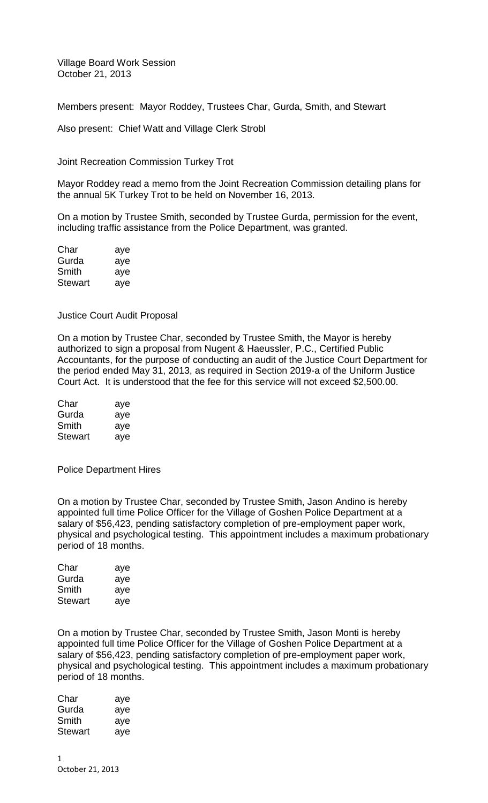Village Board Work Session October 21, 2013

Members present: Mayor Roddey, Trustees Char, Gurda, Smith, and Stewart

Also present: Chief Watt and Village Clerk Strobl

Joint Recreation Commission Turkey Trot

Mayor Roddey read a memo from the Joint Recreation Commission detailing plans for the annual 5K Turkey Trot to be held on November 16, 2013.

On a motion by Trustee Smith, seconded by Trustee Gurda, permission for the event, including traffic assistance from the Police Department, was granted.

| Char    | aye |
|---------|-----|
| Gurda   | aye |
| Smith   | aye |
| Stewart | aye |

Justice Court Audit Proposal

On a motion by Trustee Char, seconded by Trustee Smith, the Mayor is hereby authorized to sign a proposal from Nugent & Haeussler, P.C., Certified Public Accountants, for the purpose of conducting an audit of the Justice Court Department for the period ended May 31, 2013, as required in Section 2019-a of the Uniform Justice Court Act. It is understood that the fee for this service will not exceed \$2,500.00.

| Char    | aye |
|---------|-----|
| Gurda   | aye |
| Smith   | aye |
| Stewart | aye |

Police Department Hires

On a motion by Trustee Char, seconded by Trustee Smith, Jason Andino is hereby appointed full time Police Officer for the Village of Goshen Police Department at a salary of \$56,423, pending satisfactory completion of pre-employment paper work, physical and psychological testing. This appointment includes a maximum probationary period of 18 months.

| Char    | aye |
|---------|-----|
| Gurda   | aye |
| Smith   | aye |
| Stewart | aye |

On a motion by Trustee Char, seconded by Trustee Smith, Jason Monti is hereby appointed full time Police Officer for the Village of Goshen Police Department at a salary of \$56,423, pending satisfactory completion of pre-employment paper work, physical and psychological testing. This appointment includes a maximum probationary period of 18 months.

| Char    | aye |
|---------|-----|
| Gurda   | aye |
| Smith   | aye |
| Stewart | aye |